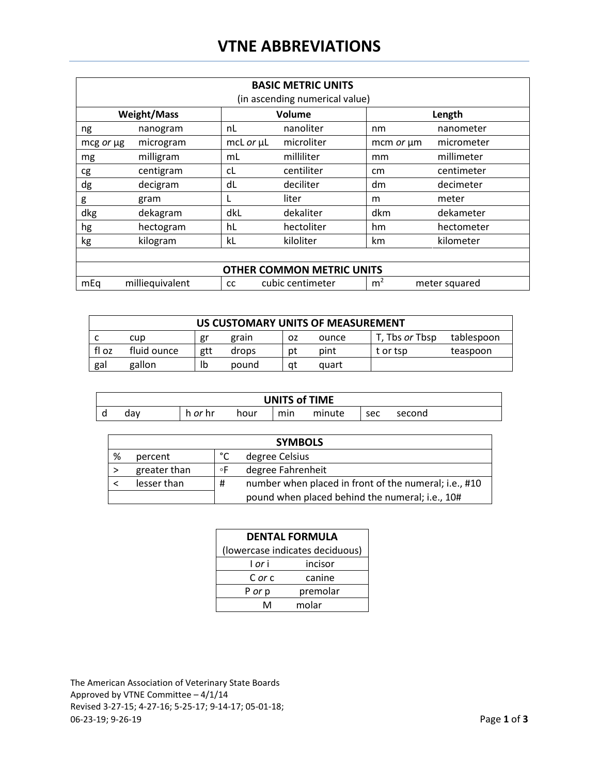## **VTNE ABBREVIATIONS**

| <b>BASIC METRIC UNITS</b><br>(in ascending numerical value) |                 |                  |                  |                |               |  |
|-------------------------------------------------------------|-----------------|------------------|------------------|----------------|---------------|--|
| <b>Weight/Mass</b>                                          |                 |                  | Volume           | Length         |               |  |
| ng                                                          | nanogram        | nL               | nanoliter        | nm             | nanometer     |  |
| mcg or µg                                                   | microgram       | mcL $or$ $\mu$ L | microliter       | mcm or um      | micrometer    |  |
| mg                                                          | milligram       | mL               | milliliter       | mm             | millimeter    |  |
| cg                                                          | centigram       | cL               | centiliter       | cm             | centimeter    |  |
| dg                                                          | decigram        | dL               | deciliter        | dm             | decimeter     |  |
| g                                                           | gram            |                  | liter            | m              | meter         |  |
| dkg                                                         | dekagram        | dkL              | dekaliter        | dkm            | dekameter     |  |
| hg                                                          | hectogram       | hL               | hectoliter       | hm.            | hectometer    |  |
| kg                                                          | kilogram        | kL               | kiloliter        | km             | kilometer     |  |
|                                                             |                 |                  |                  |                |               |  |
| <b>OTHER COMMON METRIC UNITS</b>                            |                 |                  |                  |                |               |  |
| mEq                                                         | milliequivalent | <b>CC</b>        | cubic centimeter | m <sup>2</sup> | meter squared |  |

| US CUSTOMARY UNITS OF MEASUREMENT |             |     |       |    |       |                       |            |
|-----------------------------------|-------------|-----|-------|----|-------|-----------------------|------------|
|                                   | cup         | gr  | grain | ΟZ | ounce | T, Tbs <i>or</i> Tbsp | tablespoon |
| fl oz                             | fluid ounce | gtt | drops | рt | pint  | t or tsp              | teaspoon   |
| gal                               | gallon      | Ib  | pound | at | quart |                       |            |

| <b>UNITS of TIME</b> |     |       |      |     |        |     |        |
|----------------------|-----|-------|------|-----|--------|-----|--------|
|                      | dav | or hr | hour | min | minute | sec | second |

| <b>SYMBOLS</b> |              |    |                                                       |  |
|----------------|--------------|----|-------------------------------------------------------|--|
| %              | percent      | ℃  | degree Celsius                                        |  |
|                | greater than | ۰F | degree Fahrenheit                                     |  |
|                | lesser than  | #  | number when placed in front of the numeral; i.e., #10 |  |
|                |              |    | pound when placed behind the numeral; i.e., 10#       |  |

| <b>DENTAL FORMULA</b>           |          |  |  |  |  |
|---------------------------------|----------|--|--|--|--|
| (lowercase indicates deciduous) |          |  |  |  |  |
| l or i                          | incisor  |  |  |  |  |
| C or c                          | canine   |  |  |  |  |
| P or p                          | premolar |  |  |  |  |
| ٨                               | molar    |  |  |  |  |

The American Association of Veterinary State Boards Approved by VTNE Committee – 4/1/14 Revised 3-27-15; 4-27-16; 5-25-17; 9-14-17; 05-01-18; 06-23-19; 9-26-19 Page **1** of **3**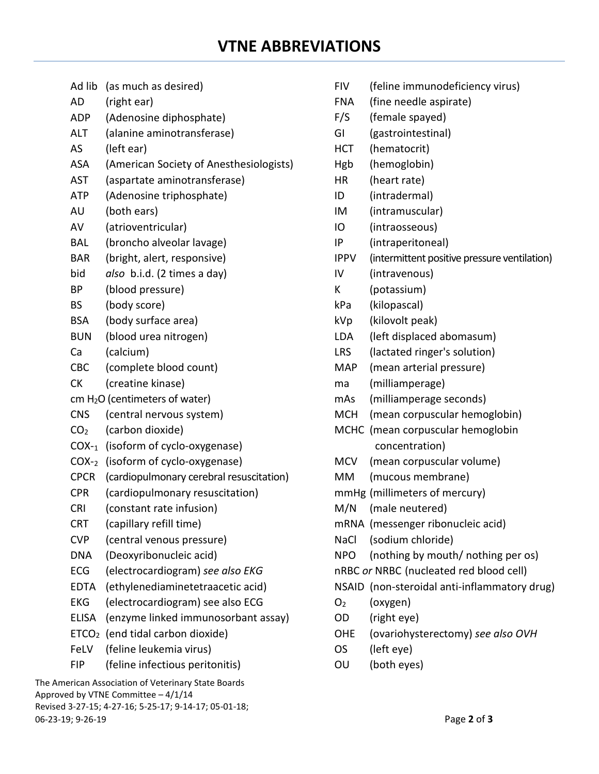- Ad lib (as much as desired)
- AD (right ear)
- ADP (Adenosine diphosphate)
- ALT (alanine aminotransferase)
- AS (left ear)
- ASA (American Society of Anesthesiologists)
- AST (aspartate aminotransferase)
- ATP (Adenosine triphosphate)
- AU (both ears)
- AV (atrioventricular)
- BAL (broncho alveolar lavage)
- BAR (bright, alert, responsive)
- bid *also* b.i.d. (2 times a day)
- BP (blood pressure)
- BS (body score)
- BSA (body surface area)
- BUN (blood urea nitrogen)
- Ca (calcium)
- CBC (complete blood count)
- CK (creatine kinase)
- cm H2O (centimeters of water)
- CNS (central nervous system)
- CO2 (carbon dioxide)
- COX-1 (isoform of cyclo-oxygenase)
- COX-2 (isoform of cyclo-oxygenase)
- CPCR (cardiopulmonary cerebral resuscitation)
- CPR (cardiopulmonary resuscitation)
- CRI (constant rate infusion)
- CRT (capillary refill time)
- CVP (central venous pressure)
- DNA (Deoxyribonucleic acid)
- ECG (electrocardiogram) *see also EKG*
- EDTA (ethylenediaminetetraacetic acid)
- EKG (electrocardiogram) see also ECG
- ELISA (enzyme linked immunosorbant assay)
- ETCO2 (end tidal carbon dioxide)
- FeLV (feline leukemia virus)
- FIP (feline infectious peritonitis)
- FIV (feline immunodeficiency virus)
- FNA (fine needle aspirate)
- F/S (female spayed)
- GI (gastrointestinal)
- HCT (hematocrit)
- Hgb (hemoglobin)
- HR (heart rate)
- ID (intradermal)
- IM (intramuscular)
- IO (intraosseous)
- IP (intraperitoneal)
- IPPV (intermittent positive pressure ventilation)
- IV (intravenous)
- K (potassium)
- kPa (kilopascal)
- kVp (kilovolt peak)
- LDA (left displaced abomasum)
- LRS (lactated ringer's solution)
- MAP (mean arterial pressure)
- ma (milliamperage)
- mAs (milliamperage seconds)
- MCH (mean corpuscular hemoglobin)
- MCHC (mean corpuscular hemoglobin concentration)
- MCV (mean corpuscular volume)
- MM (mucous membrane)
- mmHg (millimeters of mercury)
- M/N (male neutered)
- mRNA (messenger ribonucleic acid)
- NaCl (sodium chloride)

NPO (nothing by mouth/ nothing per os)

nRBC *or* NRBC (nucleated red blood cell)

- NSAID (non-steroidal anti-inflammatory drug)
- O2 (oxygen)
- OD (right eye)
- OHE (ovariohysterectomy) *see also OVH*
- OS (left eye)
- OU (both eyes)

The American Association of Veterinary State Boards Approved by VTNE Committee – 4/1/14 Revised 3-27-15; 4-27-16; 5-25-17; 9-14-17; 05-01-18; 06-23-19; 9-26-19 Page **2** of **3**